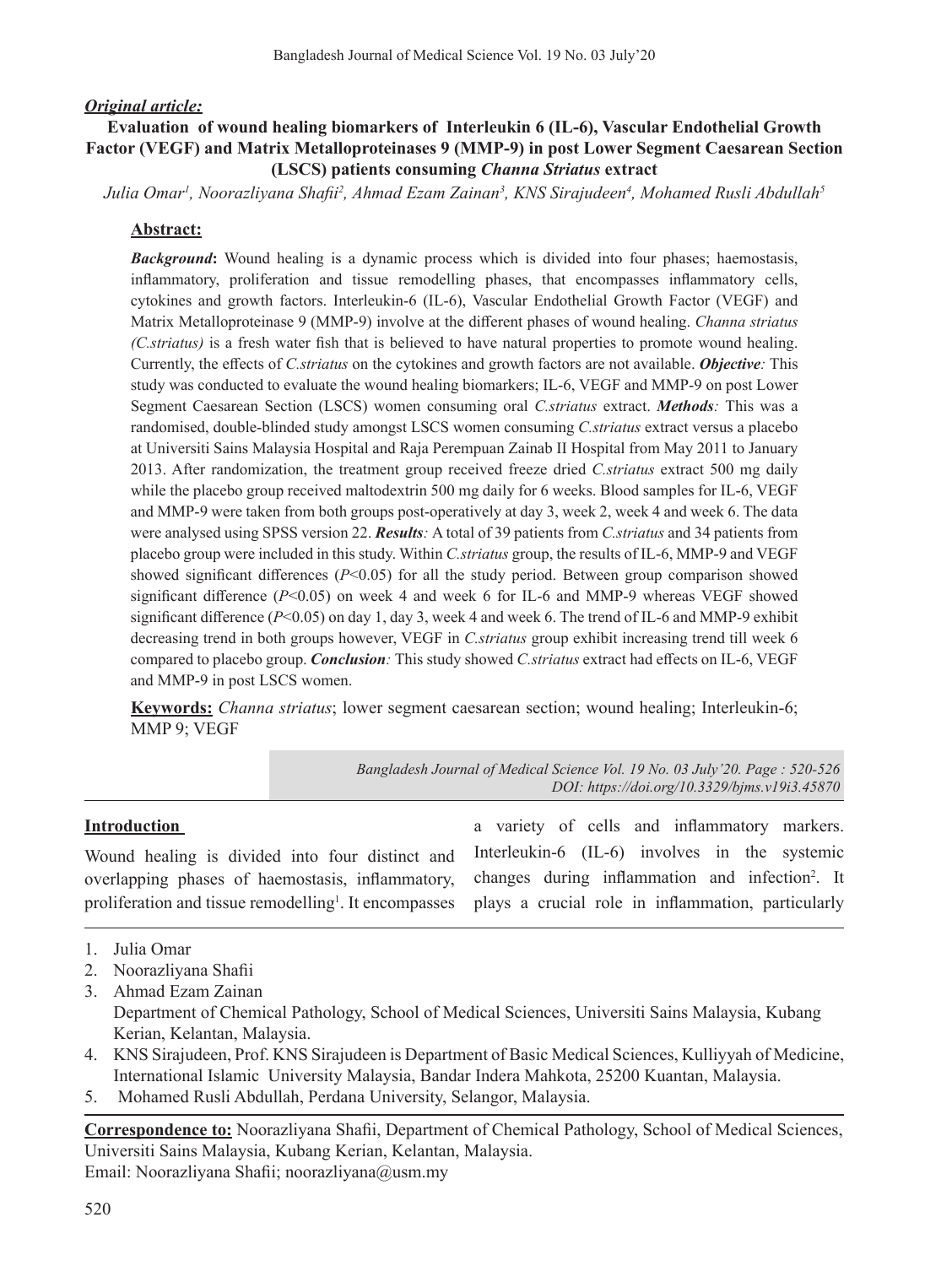### *Original article:*

## **Evaluation of wound healing biomarkers of Interleukin 6 (IL-6), Vascular Endothelial Growth Factor (VEGF) and Matrix Metalloproteinases 9 (MMP-9) in post Lower Segment Caesarean Section (LSCS) patients consuming** *Channa Striatus* **extract**

*Julia Omar1 , Noorazliyana Shafii<sup>2</sup> , Ahmad Ezam Zainan3 , KNS Sirajudeen4 , Mohamed Rusli Abdullah5*

### **Abstract:**

*Background***:** Wound healing is a dynamic process which is divided into four phases; haemostasis, inflammatory, proliferation and tissue remodelling phases, that encompasses inflammatory cells, cytokines and growth factors. Interleukin-6 (IL-6), Vascular Endothelial Growth Factor (VEGF) and Matrix Metalloproteinase 9 (MMP-9) involve at the different phases of wound healing. *Channa striatus (C.striatus)* is a fresh water fish that is believed to have natural properties to promote wound healing. Currently, the effects of *C.striatus* on the cytokines and growth factors are not available. *Objective:* This study was conducted to evaluate the wound healing biomarkers; IL-6, VEGF and MMP-9 on post Lower Segment Caesarean Section (LSCS) women consuming oral *C.striatus* extract. *Methods:* This was a randomised, double-blinded study amongst LSCS women consuming *C.striatus* extract versus a placebo at Universiti Sains Malaysia Hospital and Raja Perempuan Zainab II Hospital from May 2011 to January 2013. After randomization, the treatment group received freeze dried *C.striatus* extract 500 mg daily while the placebo group received maltodextrin 500 mg daily for 6 weeks. Blood samples for IL-6, VEGF and MMP-9 were taken from both groups post-operatively at day 3, week 2, week 4 and week 6. The data were analysed using SPSS version 22. *Results:* A total of 39 patients from *C.striatus* and 34 patients from placebo group were included in this study. Within *C.striatus* group, the results of IL-6, MMP-9 and VEGF showed significant differences ( $P<0.05$ ) for all the study period. Between group comparison showed significant difference  $(P<0.05)$  on week 4 and week 6 for IL-6 and MMP-9 whereas VEGF showed significant difference (*P*<0.05) on day 1, day 3, week 4 and week 6. The trend of IL-6 and MMP-9 exhibit decreasing trend in both groups however, VEGF in *C.striatus* group exhibit increasing trend till week 6 compared to placebo group. *Conclusion:* This study showed *C.striatus* extract had effects on IL-6, VEGF and MMP-9 in post LSCS women.

**Keywords:** *Channa striatus*; lower segment caesarean section; wound healing; Interleukin-6; MMP 9; VEGF

> *Bangladesh Journal of Medical Science Vol. 19 No. 03 July'20. Page : 520-526 DOI: https://doi.org/10.3329/bjms.v19i3.45870*

#### **Introduction**

Wound healing is divided into four distinct and overlapping phases of haemostasis, inflammatory, proliferation and tissue remodelling<sup>1</sup>. It encompasses

a variety of cells and inflammatory markers. Interleukin-6 (IL-6) involves in the systemic changes during inflammation and infection<sup>2</sup>. It plays a crucial role in inflammation, particularly

- 2. Noorazliyana Shafii
- 3. Ahmad Ezam Zainan Department of Chemical Pathology, School of Medical Sciences, Universiti Sains Malaysia, Kubang Kerian, Kelantan, Malaysia.
- 4. KNS Sirajudeen, Prof. KNS Sirajudeen is Department of Basic Medical Sciences, Kulliyyah of Medicine, International Islamic University Malaysia, Bandar Indera Mahkota, 25200 Kuantan, Malaysia.
- 5. Mohamed Rusli Abdullah, Perdana University, Selangor, Malaysia.

**Correspondence to:** Noorazliyana Shafii, Department of Chemical Pathology, School of Medical Sciences, Universiti Sains Malaysia, Kubang Kerian, Kelantan, Malaysia. Email: Noorazliyana Shafii; noorazliyana@usm.my

<sup>1.</sup> Julia Omar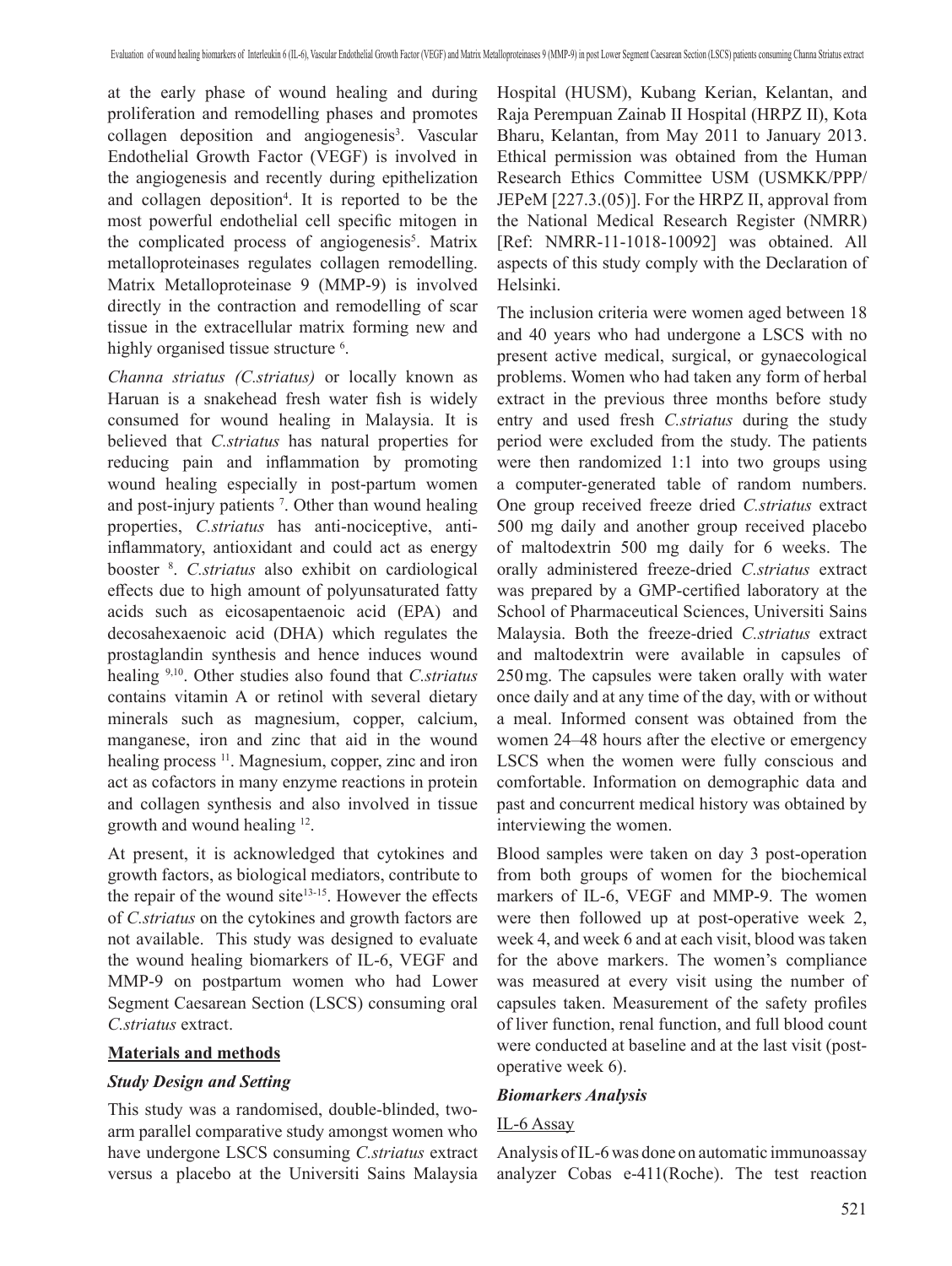at the early phase of wound healing and during proliferation and remodelling phases and promotes collagen deposition and angiogenesis<sup>3</sup>. Vascular Endothelial Growth Factor (VEGF) is involved in the angiogenesis and recently during epithelization and collagen deposition<sup>4</sup>. It is reported to be the most powerful endothelial cell specific mitogen in the complicated process of angiogenesis<sup>5</sup>. Matrix metalloproteinases regulates collagen remodelling. Matrix Metalloproteinase 9 (MMP-9) is involved directly in the contraction and remodelling of scar tissue in the extracellular matrix forming new and highly organised tissue structure <sup>6</sup>.

*Channa striatus (C.striatus)* or locally known as Haruan is a snakehead fresh water fish is widely consumed for wound healing in Malaysia. It is believed that *C.striatus* has natural properties for reducing pain and inflammation by promoting wound healing especially in post-partum women and post-injury patients <sup>7</sup> . Other than wound healing properties, *C.striatus* has anti-nociceptive, antiinflammatory, antioxidant and could act as energy booster <sup>8</sup> . *C.striatus* also exhibit on cardiological effects due to high amount of polyunsaturated fatty acids such as eicosapentaenoic acid (EPA) and decosahexaenoic acid (DHA) which regulates the prostaglandin synthesis and hence induces wound healing 9,10. Other studies also found that *C.striatus* contains vitamin A or retinol with several dietary minerals such as magnesium, copper, calcium, manganese, iron and zinc that aid in the wound healing process <sup>11</sup>. Magnesium, copper, zinc and iron act as cofactors in many enzyme reactions in protein and collagen synthesis and also involved in tissue growth and wound healing 12.

At present, it is acknowledged that cytokines and growth factors, as biological mediators, contribute to the repair of the wound site<sup>13-15</sup>. However the effects of *C.striatus* on the cytokines and growth factors are not available. This study was designed to evaluate the wound healing biomarkers of IL-6, VEGF and MMP-9 on postpartum women who had Lower Segment Caesarean Section (LSCS) consuming oral *C.striatus* extract.

#### **Materials and methods**

#### *Study Design and Setting*

This study was a randomised, double-blinded, twoarm parallel comparative study amongst women who have undergone LSCS consuming *C.striatus* extract versus a placebo at the Universiti Sains Malaysia Hospital (HUSM), Kubang Kerian, Kelantan, and Raja Perempuan Zainab II Hospital (HRPZ II), Kota Bharu, Kelantan, from May 2011 to January 2013. Ethical permission was obtained from the Human Research Ethics Committee USM (USMKK/PPP/ JEPeM [227.3.(05)]. For the HRPZ II, approval from the National Medical Research Register (NMRR) [Ref: NMRR-11-1018-10092] was obtained. All aspects of this study comply with the Declaration of Helsinki.

The inclusion criteria were women aged between 18 and 40 years who had undergone a LSCS with no present active medical, surgical, or gynaecological problems. Women who had taken any form of herbal extract in the previous three months before study entry and used fresh *C.striatus* during the study period were excluded from the study. The patients were then randomized 1:1 into two groups using a computer-generated table of random numbers. One group received freeze dried *C.striatus* extract 500 mg daily and another group received placebo of maltodextrin 500 mg daily for 6 weeks. The orally administered freeze-dried *C.striatus* extract was prepared by a GMP-certified laboratory at the School of Pharmaceutical Sciences, Universiti Sains Malaysia. Both the freeze-dried *C.striatus* extract and maltodextrin were available in capsules of 250mg. The capsules were taken orally with water once daily and at any time of the day, with or without a meal. Informed consent was obtained from the women 24–48 hours after the elective or emergency LSCS when the women were fully conscious and comfortable. Information on demographic data and past and concurrent medical history was obtained by interviewing the women.

Blood samples were taken on day 3 post-operation from both groups of women for the biochemical markers of IL-6, VEGF and MMP-9. The women were then followed up at post-operative week 2, week 4, and week 6 and at each visit, blood was taken for the above markers. The women's compliance was measured at every visit using the number of capsules taken. Measurement of the safety profiles of liver function, renal function, and full blood count were conducted at baseline and at the last visit (postoperative week 6).

#### *Biomarkers Analysis*

#### IL-6 Assay

Analysis ofIL-6was done on automatic immunoassay analyzer Cobas e-411(Roche). The test reaction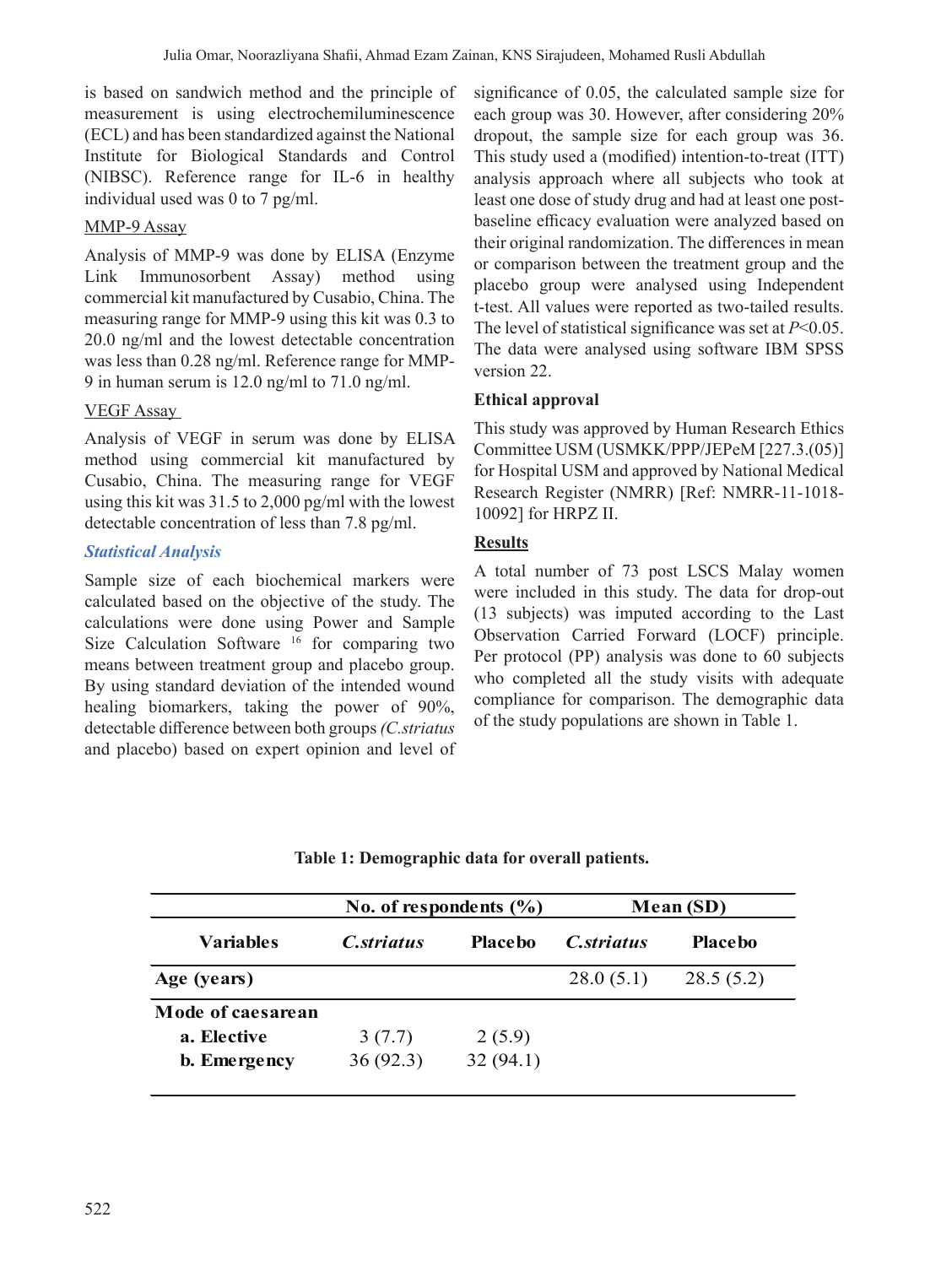is based on sandwich method and the principle of measurement is using electrochemiluminescence (ECL) and has been standardized against the National Institute for Biological Standards and Control (NIBSC). Reference range for IL-6 in healthy individual used was 0 to 7 pg/ml.

## MMP-9 Assay

Analysis of MMP-9 was done by ELISA (Enzyme Link Immunosorbent Assay) method using commercial kit manufactured by Cusabio, China. The measuring range for MMP-9 using this kit was 0.3 to 20.0 ng/ml and the lowest detectable concentration was less than 0.28 ng/ml. Reference range for MMP-9 in human serum is 12.0 ng/ml to 71.0 ng/ml.

## VEGF Assay

Analysis of VEGF in serum was done by ELISA method using commercial kit manufactured by Cusabio, China. The measuring range for VEGF using this kit was 31.5 to 2,000 pg/ml with the lowest detectable concentration of less than 7.8 pg/ml.

## *Statistical Analysis*

Sample size of each biochemical markers were calculated based on the objective of the study. The calculations were done using Power and Sample Size Calculation Software<sup>16</sup> for comparing two means between treatment group and placebo group. By using standard deviation of the intended wound healing biomarkers, taking the power of 90%, detectable difference between both groups*(C.striatus* and placebo) based on expert opinion and level of

significance of 0.05, the calculated sample size for each group was 30. However, after considering 20% dropout, the sample size for each group was 36. This study used a (modified) intention-to-treat (ITT) analysis approach where all subjects who took at least one dose of study drug and had at least one postbaseline efficacy evaluation were analyzed based on their original randomization. The differences in mean or comparison between the treatment group and the placebo group were analysed using Independent t-test. All values were reported as two-tailed results. The level of statistical significance was set at *P*<0.05. The data were analysed using software IBM SPSS version 22.

## **Ethical approval**

This study was approved by Human Research Ethics Committee USM (USMKK/PPP/JEPeM [227.3.(05)] for Hospital USM and approved by National Medical Research Register (NMRR) [Ref: NMRR-11-1018- 10092] for HRPZ II.

## **Results**

A total number of 73 post LSCS Malay women were included in this study. The data for drop-out (13 subjects) was imputed according to the Last Observation Carried Forward (LOCF) principle. Per protocol (PP) analysis was done to 60 subjects who completed all the study visits with adequate compliance for comparison. The demographic data of the study populations are shown in Table 1.

|                     | No. of respondents $(\% )$ |                | Mean (SD)         |                |
|---------------------|----------------------------|----------------|-------------------|----------------|
| Variables           | <i>C.striatus</i>          | <b>Placebo</b> | <i>C.striatus</i> | <b>Placebo</b> |
| Age (years)         |                            |                | 28.0(5.1)         | 28.5(5.2)      |
| Mode of caesarean   |                            |                |                   |                |
| a. Elective         | 3(7.7)                     | 2(5.9)         |                   |                |
| <b>b.</b> Emergency | 36(92.3)                   | 32(94.1)       |                   |                |

### **Table 1: Demographic data for overall patients.**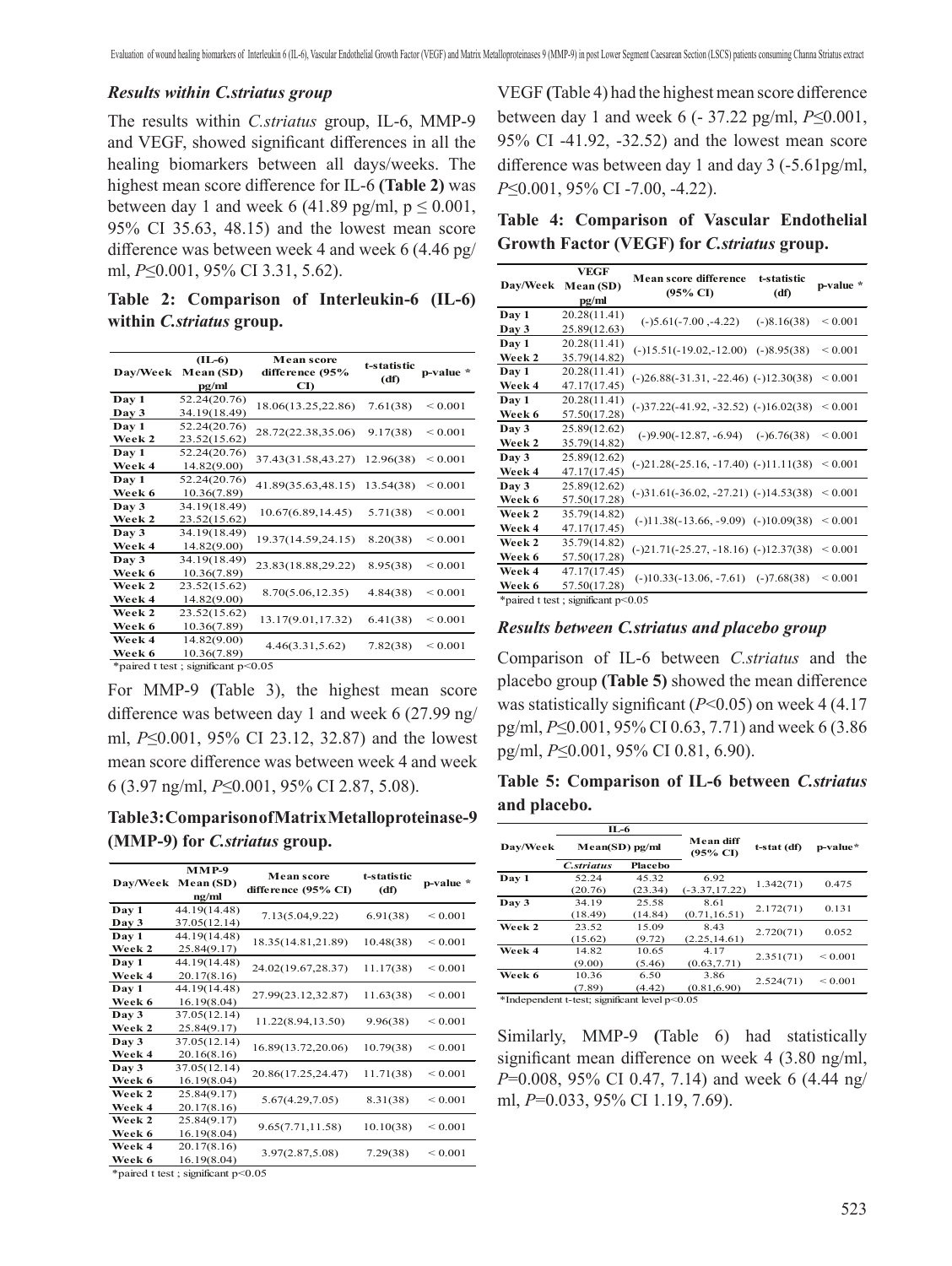#### *Results within C.striatus group*

The results within *C.striatus* group, IL-6, MMP-9 and VEGF, showed significant differences in all the healing biomarkers between all days/weeks. The highest mean score difference for IL-6 **(Table 2)** was between day 1 and week 6 (41.89 pg/ml,  $p \le 0.001$ , 95% CI 35.63, 48.15) and the lowest mean score difference was between week 4 and week 6 (4.46 pg/ ml, *P*≤0.001, 95% CI 3.31, 5.62).

**Table 2: Comparison of Interleukin-6 (IL-6) within** *C.striatus* **group.** 

| Day/Week                            | $(IL-6)$<br>Mean (SD)<br>pg/ml | <b>Mean score</b><br>difference (95%<br>CI) | t-statistic<br>(df) | p-value *         |  |  |
|-------------------------------------|--------------------------------|---------------------------------------------|---------------------|-------------------|--|--|
| Day 1                               | 52.24(20.76)                   | 18.06(13.25,22.86)                          | 7.61(38)            | ${}_{\leq 0.001}$ |  |  |
| Day 3                               | 34.19(18.49)                   |                                             |                     |                   |  |  |
| Day 1                               | 52.24(20.76)                   | 28.72(22.38,35.06)                          | 9.17(38)            | ${}_{\leq 0.001}$ |  |  |
| Week 2                              | 23.52(15.62)                   |                                             |                     |                   |  |  |
| Day 1                               | 52.24(20.76)                   | 37.43(31.58,43.27)                          | 12.96(38)           | ${}_{\leq 0.001}$ |  |  |
| Week 4                              | 14.82(9.00)                    |                                             |                     |                   |  |  |
| Day 1                               | 52.24(20.76)                   | 41.89(35.63,48.15)                          | 13.54(38)           | ${}_{\leq 0.001}$ |  |  |
| Week 6                              | 10.36(7.89)                    |                                             |                     |                   |  |  |
| Day 3                               | 34.19(18.49)                   | 10.67(6.89, 14.45)                          | 5.71(38)            | ${}_{0.001}$      |  |  |
| Week 2                              | 23.52(15.62)                   |                                             |                     |                   |  |  |
| Day 3                               | 34.19(18.49)                   | 19.37(14.59,24.15)                          | 8.20(38)            | ${}_{\leq 0.001}$ |  |  |
| Week 4                              | 14.82(9.00)                    |                                             |                     |                   |  |  |
| Day 3                               | 34.19(18.49)                   | 23.83(18.88,29.22)                          | 8.95(38)            | ${}_{0.001}$      |  |  |
| Week 6                              | 10.36(7.89)                    |                                             |                     |                   |  |  |
| Week 2                              | 23.52(15.62)                   | 8.70(5.06,12.35)                            | 4.84(38)            | ${}_{\leq 0.001}$ |  |  |
| Week 4                              | 14.82(9.00)                    |                                             |                     |                   |  |  |
| Week 2                              | 23.52(15.62)                   | 13.17(9.01,17.32)                           | 6.41(38)            | ${}_{0.001}$      |  |  |
| Week 6                              | 10.36(7.89)                    |                                             |                     |                   |  |  |
| Week 4                              | 14.82(9.00)                    | 4.46(3.31,5.62)                             | 7.82(38)            | ${}_{0.001}$      |  |  |
| Week 6                              | 10.36(7.89)                    |                                             |                     |                   |  |  |
| $*noed + toet : coimifcount n<0.05$ |                                |                                             |                     |                   |  |  |

\*paired t test ; significant p<0.05

For MMP-9 **(**Table 3), the highest mean score difference was between day 1 and week 6 (27.99 ng/ ml, *P*≤0.001, 95% CI 23.12, 32.87) and the lowest mean score difference was between week 4 and week 6 (3.97 ng/ml, *P*≤0.001, 95% CI 2.87, 5.08).

**Table 3: Comparison of Matrix Metalloproteinase-9 (MMP-9) for** *C.striatus* **group.**

| Dav/Week    | $MMP-9$<br>Mean (SD)<br>ng/ml | <b>Mean score</b><br>difference (95% CI) | t-statistic<br>(df) | p-value *         |
|-------------|-------------------------------|------------------------------------------|---------------------|-------------------|
| Day 1       | 44.19(14.48)                  | 7.13(5.04,9.22)                          | 6.91(38)            | ${}_{\leq 0.001}$ |
| Day 3       | 37.05(12.14)                  |                                          |                     |                   |
| Day 1       | 44.19(14.48)                  | 18.35(14.81,21.89)                       | 10.48(38)           | ${}_{\leq 0.001}$ |
| Week 2      | 25.84(9.17)                   |                                          |                     |                   |
| Day 1       | 44.19(14.48)                  | 24.02(19.67,28.37)                       | 11.17(38)           | ${}_{\leq 0.001}$ |
| Week 4      | 20.17(8.16)                   |                                          |                     |                   |
| Day 1       | 44.19(14.48)                  | 27.99(23.12,32.87)                       | 11.63(38)           | ${}_{\leq 0.001}$ |
| Week 6      | 16.19(8.04)                   |                                          |                     |                   |
| Day 3       | 37.05(12.14)                  | 11.22(8.94,13.50)                        | 9.96(38)            | ${}_{\leq 0.001}$ |
| Week 2      | 25.84(9.17)                   |                                          |                     |                   |
| Day 3       | 37.05(12.14)                  | 16.89(13.72,20.06)                       | 10.79(38)           | ${}_{\leq 0.001}$ |
| Week 4      | 20.16(8.16)                   |                                          |                     |                   |
| Day 3       | 37.05(12.14)                  | 20.86(17.25,24.47)                       | 11.71(38)           | ${}_{\leq 0.001}$ |
| Week 6      | 16.19(8.04)                   |                                          |                     |                   |
| Week 2      | 25.84(9.17)                   | 5.67(4.29,7.05)                          | 8.31(38)            | ${}_{0.001}$      |
| Week 4      | 20.17(8.16)                   |                                          |                     |                   |
| Week 2      | 25.84(9.17)                   | 9.65(7.71,11.58)                         | 10.10(38)           | ${}_{0.001}$      |
| Week 6      | 16.19(8.04)                   |                                          |                     |                   |
| Week 4      | 20.17(8.16)                   | 3.97(2.87,5.08)                          | 7.29(38)            | ${}_{0.001}$      |
| Week 6<br>. | 16.19(8.04)                   |                                          |                     |                   |

\*paired t test ; significant p<0.05

VEGF **(**Table 4) had the highestmean score difference between day 1 and week 6 (- 37.22 pg/ml, *P*≤0.001, 95% CI -41.92, -32.52) and the lowest mean score difference was between day 1 and day 3 (-5.61pg/ml, *P*≤0.001, 95% CI -7.00, -4.22).

**Table 4: Comparison of Vascular Endothelial Growth Factor (VEGF) for** *C.striatus* **group.** 

|                 | VEGF         | Mean score difference                     | t-statistic<br>(df)                      | p-value *    |
|-----------------|--------------|-------------------------------------------|------------------------------------------|--------------|
| <b>Day/Week</b> | Mean (SD)    | $(95\% \text{ CI})$                       |                                          |              |
|                 | pg/ml        |                                           |                                          |              |
| Day 1           | 20.28(11.41) | $(-)5.61(-7.00, -4.22)$                   | $(-)8.16(38)$                            | ${}_{0.001}$ |
| Day 3           | 25.89(12.63) |                                           |                                          |              |
| Day 1           | 20.28(11.41) | $(-)15.51(-19.02,-12.00)$ $(-)8.95(38)$   |                                          | ${}_{0.001}$ |
| Week 2          | 35.79(14.82) |                                           |                                          |              |
| Day 1           | 20.28(11.41) | $(-)26.88(-31.31, -22.46)$ $(-)12.30(38)$ |                                          | ${}_{0.001}$ |
| Week 4          | 47.17(17.45) |                                           |                                          |              |
| Day 1           | 20.28(11.41) | $(-)37.22(-41.92, -32.52)$ $(-)16.02(38)$ |                                          | ${}_{0.001}$ |
| Week 6          | 57.50(17.28) |                                           |                                          |              |
| Day 3           | 25.89(12.62) | $(-)9.90(-12.87, -6.94)$                  | $(-)6.76(38)$                            | ${}_{0.001}$ |
| Week 2          | 35.79(14.82) |                                           |                                          |              |
| Day 3           | 25.89(12.62) | $(-)21.28(-25.16, -17.40)$ $(-)11.11(38)$ |                                          | ${}_{0.001}$ |
| Week 4          | 47.17(17.45) |                                           |                                          |              |
| Day 3           | 25.89(12.62) | $(-)31.61(-36.02, -27.21)$ $(-)14.53(38)$ |                                          | ${}_{0.001}$ |
| Week 6          | 57.50(17.28) |                                           |                                          |              |
| Week 2          | 35.79(14.82) |                                           | $(-)11.38(-13.66, -9.09)$ $(-)10.09(38)$ | ${}_{0.001}$ |
| Week 4          | 47.17(17.45) |                                           |                                          |              |
| Week 2          | 35.79(14.82) | $(-)21.71(-25.27, -18.16)$ $(-)12.37(38)$ |                                          | ${}_{0.001}$ |
| Week 6          | 57.50(17.28) |                                           |                                          |              |
| Week 4          | 47.17(17.45) | $(-10.33(-13.06, -7.61))$                 | $(-)7.68(38)$                            | ${}_{0.001}$ |
| Week 6          | 57.50(17.28) |                                           |                                          |              |

\*paired t test ; significant p<0.05

#### *Results between C.striatus and placebo group*

Comparison of IL-6 between *C.striatus* and the placebo group **(Table 5)** showed the mean difference was statistically significant ( $P<0.05$ ) on week 4 (4.17) pg/ml, *P*≤0.001, 95% CI 0.63, 7.71) and week 6 (3.86 pg/ml, *P*≤0.001, 95% CI 0.81, 6.90).

**Table 5: Comparison of IL-6 between** *C.striatus* **and placebo.**

|          | IL-6           |         | Mean diff<br>$(95\% \text{ C}I)$ | t-stat (df) | p-value*     |
|----------|----------------|---------|----------------------------------|-------------|--------------|
| Day/Week | Mean(SD) pg/ml |         |                                  |             |              |
|          | C.striatus     | Placebo |                                  |             |              |
| Day 1    | 52.24          | 45.32   | 6.92                             | 1.342(71)   | 0.475        |
|          | (20.76)        | (23.34) | $(-3.37, 17.22)$                 |             |              |
| Day 3    | 34.19          | 25.58   | 8.61                             | 2.172(71)   | 0.131        |
|          | (18.49)        | (14.84) | (0.71, 16.51)                    |             |              |
| Week 2   | 23.52          | 15.09   | 8.43                             | 2.720(71)   | 0.052        |
|          | (15.62)        | (9.72)  | (2.25, 14.61)                    |             |              |
| Week 4   | 14.82          | 10.65   | 4.17                             |             | ${}_{0.001}$ |
|          | (9.00)         | (5.46)  | (0.63, 7.71)                     | 2.351(71)   |              |
| Week 6   | 10.36          | 6.50    | 3.86                             |             | ${}_{0.001}$ |
|          | (7.89)         | (4.42)  | (0.81, 6.90)                     | 2.524(71)   |              |

\*Independent t-test; significant level p<0.05

Similarly, MMP-9 **(**Table 6) had statistically significant mean difference on week 4 (3.80 ng/ml, *P*=0.008, 95% CI 0.47, 7.14) and week 6 (4.44 ng/ ml, *P*=0.033, 95% CI 1.19, 7.69).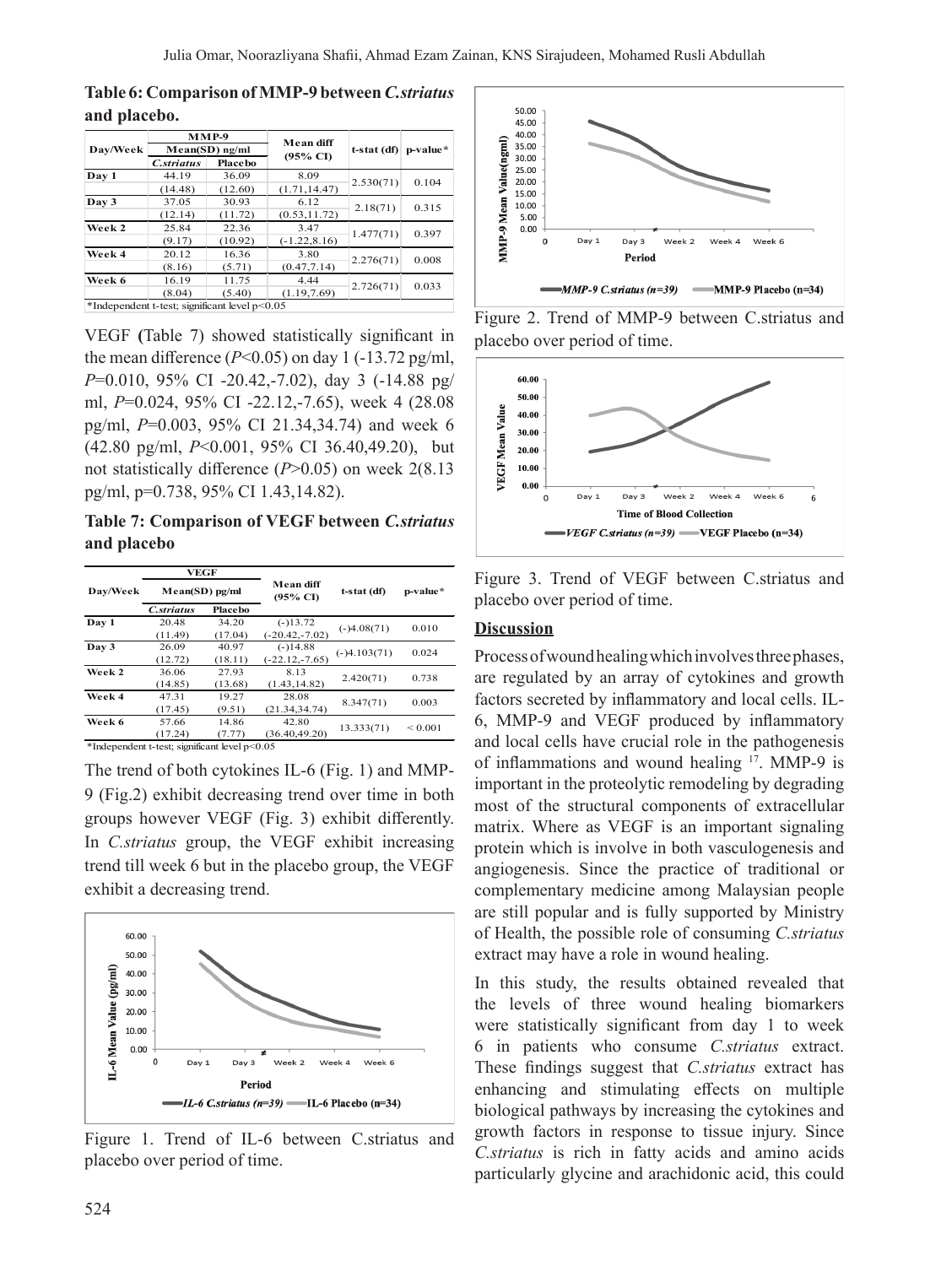#### **Table 6: Comparison of MMP-9 between** *C.striatus* **and placebo.**

| Day/Week                                      | $MMP-9$<br>$Mean(SD)$ ng/ml |         | Mean diff       | $t-stat$ (df) | p-value*  |
|-----------------------------------------------|-----------------------------|---------|-----------------|---------------|-----------|
|                                               |                             |         |                 |               |           |
|                                               | Day 1                       | 44.19   | 36.09           | 8.09          | 2.530(71) |
|                                               | (14.48)                     | (12.60) | (1.71, 14.47)   |               |           |
| Day 3                                         | 37.05                       | 30.93   | 6.12            | 2.18(71)      | 0.315     |
|                                               | (12.14)                     | (11.72) | (0.53, 11.72)   |               |           |
| Week 2                                        | 25.84                       | 22.36   | 3.47            |               | 0.397     |
|                                               | (9.17)                      | (10.92) | $(-1.22, 8.16)$ | 1.477(71)     |           |
| Week 4                                        | 20.12                       | 16.36   | 3.80            | 2.276(71)     | 0.008     |
|                                               | (8.16)                      | (5.71)  | (0.47, 7.14)    |               |           |
| Week 6                                        | 16.19                       | 11.75   | 4.44            | 2.726(71)     | 0.033     |
|                                               | (8.04)                      | (5.40)  | (1.19, 7.69)    |               |           |
| *Independent t-test; significant level p<0.05 |                             |         |                 |               |           |

VEGF **(**Table 7) showed statistically significant in the mean difference  $(P<0.05)$  on day 1  $(-13.72 \text{ pg/ml}$ , *P*=0.010, 95% CI -20.42,-7.02), day 3 (-14.88 pg/ ml, *P*=0.024, 95% CI -22.12,-7.65), week 4 (28.08 pg/ml, *P*=0.003, 95% CI 21.34,34.74) and week 6 (42.80 pg/ml, *P*<0.001, 95% CI 36.40,49.20), but not statistically difference (*P*>0.05) on week 2(8.13 pg/ml, p=0.738, 95% CI 1.43,14.82).

**Table 7: Comparison of VEGF between** *C.striatus* **and placebo**

|                                               | <b>VEGF</b>      |         | Mean diff<br>$(95\% \text{ CI})$ | t-stat (df)    | p-value*     |  |
|-----------------------------------------------|------------------|---------|----------------------------------|----------------|--------------|--|
| Day/Week                                      | $Mean(SD)$ pg/ml |         |                                  |                |              |  |
|                                               | C.striatus       | Placebo |                                  |                |              |  |
| Day 1                                         | 20.48            | 34.20   | $(-)13.72$                       |                | 0.010        |  |
|                                               | (11.49)          | (17.04) | $(-20.42,-7.02)$                 | $(-)4.08(71)$  |              |  |
| Day 3                                         | 26.09            | 40.97   | $(-)14.88$                       | $(-)4.103(71)$ | 0.024        |  |
|                                               | (12.72)          | (18.11) | $(-22.12,-7.65)$                 |                |              |  |
| Week 2                                        | 36.06            | 27.93   | 8.13                             |                | 0.738        |  |
|                                               | (14.85)          | (13.68) | (1.43.14.82)                     | 2.420(71)      |              |  |
| Week 4                                        | 47.31            | 19.27   | 28.08                            | 8.347(71)      | 0.003        |  |
|                                               | (17.45)          | (9.51)  | (21.34, 34.74)                   |                |              |  |
| Week 6                                        | 57.66            | 14.86   | 42.80                            | 13.333(71)     | ${}_{0.001}$ |  |
|                                               | (17.24)          | (7.77)  | (36.40.49.20)                    |                |              |  |
| *Independent t-test; significant level p<0.05 |                  |         |                                  |                |              |  |

The trend of both cytokines IL-6 (Fig. 1) and MMP-9 (Fig.2) exhibit decreasing trend over time in both groups however VEGF (Fig. 3) exhibit differently. In *C.striatus* group, the VEGF exhibit increasing trend till week 6 but in the placebo group, the VEGF exhibit a decreasing trend.



Figure 1. Trend of IL-6 between C.striatus and placebo over period of time.



Figure 2. Trend of MMP-9 between C.striatus and placebo over period of time.



Figure 3. Trend of VEGF between C.striatus and placebo over period of time.

#### **Discussion**

Processofwoundhealingwhichinvolvesthreephases, are regulated by an array of cytokines and growth factors secreted by inflammatory and local cells. IL-6, MMP-9 and VEGF produced by inflammatory and local cells have crucial role in the pathogenesis of inflammations and wound healing <sup>17</sup>. MMP-9 is important in the proteolytic remodeling by degrading most of the structural components of extracellular matrix. Where as VEGF is an important signaling protein which is involve in both vasculogenesis and angiogenesis. Since the practice of traditional or complementary medicine among Malaysian people are still popular and is fully supported by Ministry of Health, the possible role of consuming *C.striatus* extract may have a role in wound healing.

In this study, the results obtained revealed that the levels of three wound healing biomarkers were statistically significant from day 1 to week 6 in patients who consume *C.striatus* extract. These findings suggest that *C.striatus* extract has enhancing and stimulating effects on multiple biological pathways by increasing the cytokines and growth factors in response to tissue injury. Since *C.striatus* is rich in fatty acids and amino acids particularly glycine and arachidonic acid, this could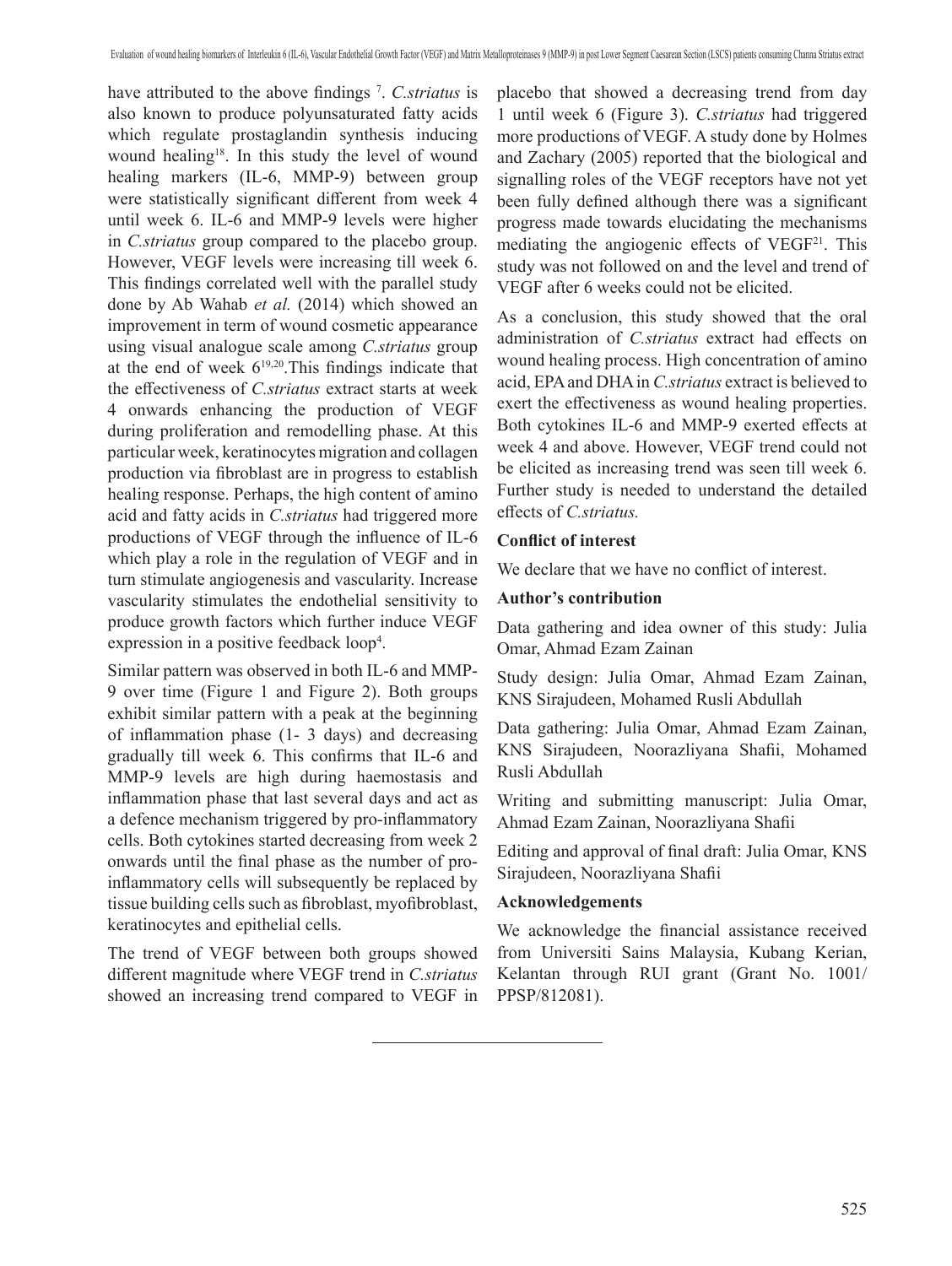have attributed to the above findings <sup>7</sup> . *C.striatus* is also known to produce polyunsaturated fatty acids which regulate prostaglandin synthesis inducing wound healing<sup>18</sup>. In this study the level of wound healing markers (IL-6, MMP-9) between group were statistically significant different from week 4 until week 6. IL-6 and MMP-9 levels were higher in *C.striatus* group compared to the placebo group. However, VEGF levels were increasing till week 6. This findings correlated well with the parallel study done by Ab Wahab *et al.* (2014) which showed an improvement in term of wound cosmetic appearance using visual analogue scale among *C.striatus* group at the end of week  $6^{19,20}$ . This findings indicate that the effectiveness of *C.striatus* extract starts at week 4 onwards enhancing the production of VEGF during proliferation and remodelling phase. At this particular week, keratinocytes migration and collagen production via fibroblast are in progress to establish healing response. Perhaps, the high content of amino acid and fatty acids in *C.striatus* had triggered more productions of VEGF through the influence of IL-6 which play a role in the regulation of VEGF and in turn stimulate angiogenesis and vascularity. Increase vascularity stimulates the endothelial sensitivity to produce growth factors which further induce VEGF expression in a positive feedback loop<sup>4</sup>.

Similar pattern was observed in both IL-6 and MMP-9 over time (Figure 1 and Figure 2). Both groups exhibit similar pattern with a peak at the beginning of inflammation phase (1- 3 days) and decreasing gradually till week 6. This confirms that IL-6 and MMP-9 levels are high during haemostasis and inflammation phase that last several days and act as a defence mechanism triggered by pro-inflammatory cells. Both cytokines started decreasing from week 2 onwards until the final phase as the number of proinflammatory cells will subsequently be replaced by tissue building cells such as fibroblast, myofibroblast, keratinocytes and epithelial cells.

The trend of VEGF between both groups showed different magnitude where VEGF trend in *C.striatus* showed an increasing trend compared to VEGF in

placebo that showed a decreasing trend from day 1 until week 6 (Figure 3). *C.striatus* had triggered more productions of VEGF. A study done by Holmes and Zachary (2005) reported that the biological and signalling roles of the VEGF receptors have not yet been fully defined although there was a significant progress made towards elucidating the mechanisms mediating the angiogenic effects of VEGF<sup>21</sup>. This study was not followed on and the level and trend of VEGF after 6 weeks could not be elicited.

As a conclusion, this study showed that the oral administration of *C.striatus* extract had effects on wound healing process. High concentration of amino acid, EPAand DHAin *C.striatus* extract is believed to exert the effectiveness as wound healing properties. Both cytokines IL-6 and MMP-9 exerted effects at week 4 and above. However, VEGF trend could not be elicited as increasing trend was seen till week 6. Further study is needed to understand the detailed effects of *C.striatus.*

## **Conflict of interest**

We declare that we have no conflict of interest.

# **Author's contribution**

Data gathering and idea owner of this study: Julia Omar, Ahmad Ezam Zainan

Study design: Julia Omar, Ahmad Ezam Zainan, KNS Sirajudeen, Mohamed Rusli Abdullah

Data gathering: Julia Omar, Ahmad Ezam Zainan, KNS Sirajudeen, Noorazliyana Shafii, Mohamed Rusli Abdullah

Writing and submitting manuscript: Julia Omar, Ahmad Ezam Zainan, Noorazliyana Shafii

Editing and approval of final draft: Julia Omar, KNS Sirajudeen, Noorazliyana Shafii

#### **Acknowledgements**

We acknowledge the financial assistance received from Universiti Sains Malaysia, Kubang Kerian, Kelantan through RUI grant (Grant No. 1001/ PPSP/812081).